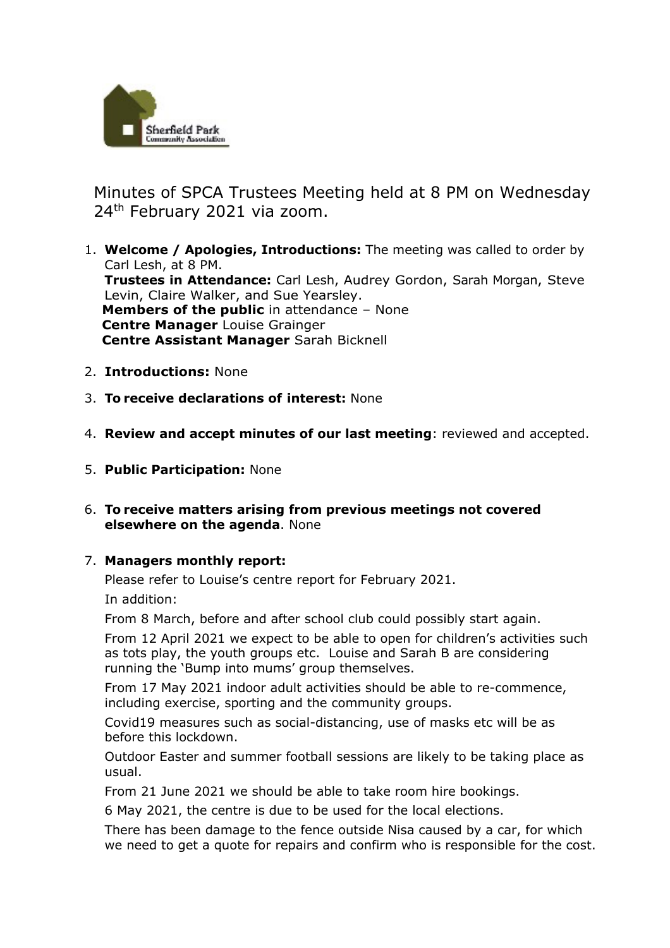

 Minutes of SPCA Trustees Meeting held at 8 PM on Wednesday 24<sup>th</sup> February 2021 via zoom.

- 1. **Welcome / Apologies, Introductions:** The meeting was called to order by Carl Lesh, at 8 PM. **Trustees in Attendance:** Carl Lesh, Audrey Gordon, Sarah Morgan, Steve Levin, Claire Walker, and Sue Yearsley. **Members of the public** in attendance – None  **Centre Manager** Louise Grainger  **Centre Assistant Manager** Sarah Bicknell
- 2. **Introductions:** None
- 3. **To receive declarations of interest:** None
- 4. **Review and accept minutes of our last meeting**: reviewed and accepted.
- 5. **Public Participation:** None
- 6. **To receive matters arising from previous meetings not covered elsewhere on the agenda**. None

## 7. **Managers monthly report:**

Please refer to Louise's centre report for February 2021.

In addition:

From 8 March, before and after school club could possibly start again.

From 12 April 2021 we expect to be able to open for children's activities such as tots play, the youth groups etc. Louise and Sarah B are considering running the 'Bump into mums' group themselves.

From 17 May 2021 indoor adult activities should be able to re-commence, including exercise, sporting and the community groups.

Covid19 measures such as social-distancing, use of masks etc will be as before this lockdown.

Outdoor Easter and summer football sessions are likely to be taking place as usual.

From 21 June 2021 we should be able to take room hire bookings.

6 May 2021, the centre is due to be used for the local elections.

There has been damage to the fence outside Nisa caused by a car, for which we need to get a quote for repairs and confirm who is responsible for the cost.